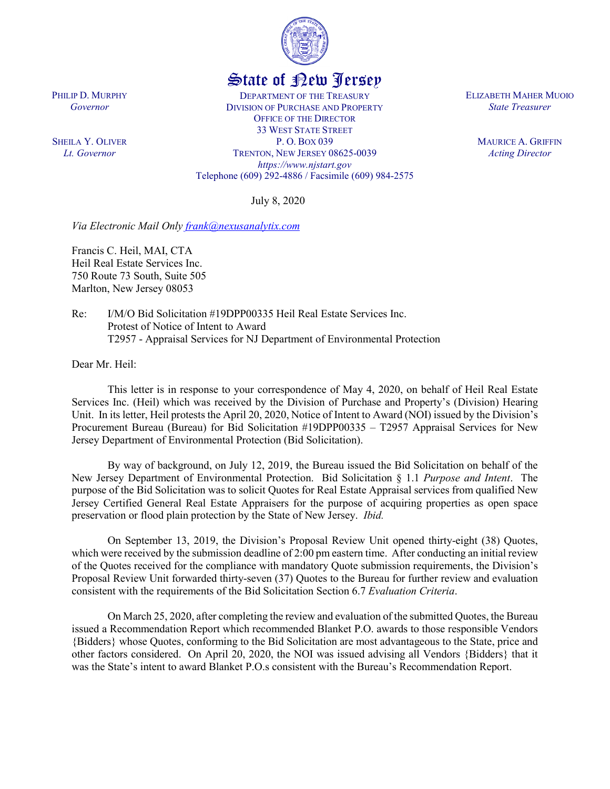

## State of New Jersey

DEPARTMENT OF THE TREASURY DIVISION OF PURCHASE AND PROPERTY OFFICE OF THE DIRECTOR 33 WEST STATE STREET P. O. BOX 039 TRENTON, NEW JERSEY 08625-0039 *https://www.njstart.gov* Telephone (609) 292-4886 / Facsimile (609) 984-2575

July 8, 2020

*Via Electronic Mail Only [frank@nexusanalytix.com](mailto:frank@nexusanalytix.com)* 

Francis C. Heil, MAI, CTA Heil Real Estate Services Inc. 750 Route 73 South, Suite 505 Marlton, New Jersey 08053

Re: I/M/O Bid Solicitation #19DPP00335 Heil Real Estate Services Inc. Protest of Notice of Intent to Award T2957 - Appraisal Services for NJ Department of Environmental Protection

Dear Mr. Heil:

This letter is in response to your correspondence of May 4, 2020, on behalf of Heil Real Estate Services Inc. (Heil) which was received by the Division of Purchase and Property's (Division) Hearing Unit. In its letter, Heil protests the April 20, 2020, Notice of Intent to Award (NOI) issued by the Division's Procurement Bureau (Bureau) for Bid Solicitation #19DPP00335 – T2957 Appraisal Services for New Jersey Department of Environmental Protection (Bid Solicitation).

By way of background, on July 12, 2019, the Bureau issued the Bid Solicitation on behalf of the New Jersey Department of Environmental Protection. Bid Solicitation § 1.1 *Purpose and Intent*. The purpose of the Bid Solicitation was to solicit Quotes for Real Estate Appraisal services from qualified New Jersey Certified General Real Estate Appraisers for the purpose of acquiring properties as open space preservation or flood plain protection by the State of New Jersey. *Ibid.*

On September 13, 2019, the Division's Proposal Review Unit opened thirty-eight (38) Quotes, which were received by the submission deadline of 2:00 pm eastern time. After conducting an initial review of the Quotes received for the compliance with mandatory Quote submission requirements, the Division's Proposal Review Unit forwarded thirty-seven (37) Quotes to the Bureau for further review and evaluation consistent with the requirements of the Bid Solicitation Section 6.7 *Evaluation Criteria*.

On March 25, 2020, after completing the review and evaluation of the submitted Quotes, the Bureau issued a Recommendation Report which recommended Blanket P.O. awards to those responsible Vendors {Bidders} whose Quotes, conforming to the Bid Solicitation are most advantageous to the State, price and other factors considered. On April 20, 2020, the NOI was issued advising all Vendors {Bidders} that it was the State's intent to award Blanket P.O.s consistent with the Bureau's Recommendation Report.

PHILIP D. MURPHY *Governor*

SHEILA Y. OLIVER *Lt. Governor*

ELIZABETH MAHER MUOIO *State Treasurer*

> MAURICE A. GRIFFIN *Acting Director*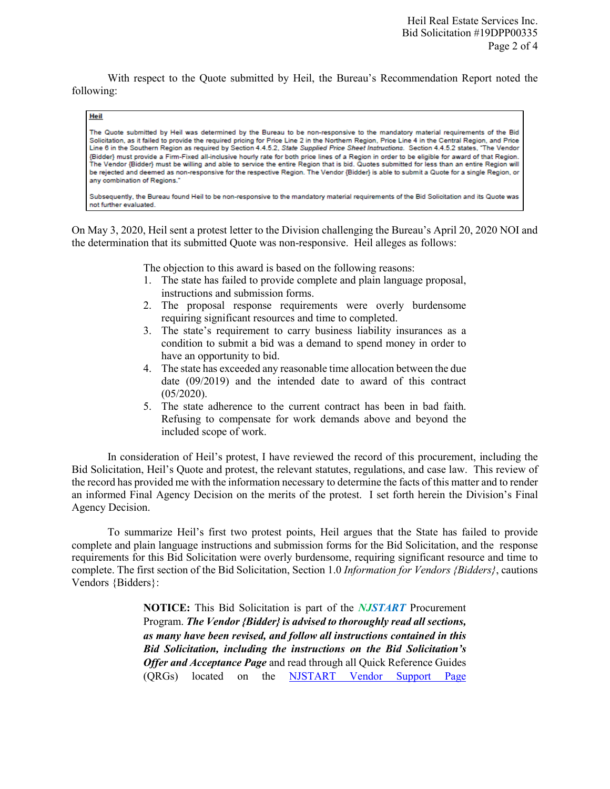With respect to the Quote submitted by Heil, the Bureau's Recommendation Report noted the following:

## Heil

The Quote submitted by Heil was determined by the Bureau to be non-responsive to the mandatory material requirements of the Bid Solicitation, as it failed to provide the required pricing for Price Line 2 in the Northern Region, Price Line 4 in the Central Region, and Price Line 6 in the Southern Region as required by Section 4.4.5.2, State Supplied Price Sheet Instructions. Section 4.4.5.2 states, "The Vendor {Bidder} must provide a Firm-Fixed all-inclusive hourly rate for both price lines of a Region in order to be eligible for award of that Region. The Vendor {Bidder} must be willing and able to service the entire Region that is bid. Quotes submitted for less than an entire Region will be rejected and deemed as non-responsive for the respective Region. The Vendor {Bidder} is able to submit a Quote for a single Region, or any combination of Regions."

Subsequently, the Bureau found Heil to be non-responsive to the mandatory material requirements of the Bid Solicitation and its Quote was not further evaluated.

On May 3, 2020, Heil sent a protest letter to the Division challenging the Bureau's April 20, 2020 NOI and the determination that its submitted Quote was non-responsive. Heil alleges as follows:

The objection to this award is based on the following reasons:

- 1. The state has failed to provide complete and plain language proposal, instructions and submission forms.
- 2. The proposal response requirements were overly burdensome requiring significant resources and time to completed.
- 3. The state's requirement to carry business liability insurances as a condition to submit a bid was a demand to spend money in order to have an opportunity to bid.
- 4. The state has exceeded any reasonable time allocation between the due date (09/2019) and the intended date to award of this contract (05/2020).
- 5. The state adherence to the current contract has been in bad faith. Refusing to compensate for work demands above and beyond the included scope of work.

In consideration of Heil's protest, I have reviewed the record of this procurement, including the Bid Solicitation, Heil's Quote and protest, the relevant statutes, regulations, and case law. This review of the record has provided me with the information necessary to determine the facts of this matter and to render an informed Final Agency Decision on the merits of the protest. I set forth herein the Division's Final Agency Decision.

To summarize Heil's first two protest points, Heil argues that the State has failed to provide complete and plain language instructions and submission forms for the Bid Solicitation, and the response requirements for this Bid Solicitation were overly burdensome, requiring significant resource and time to complete. The first section of the Bid Solicitation, Section 1.0 *Information for Vendors {Bidders}*, cautions Vendors {Bidders}:

> **NOTICE:** This Bid Solicitation is part of the *NJSTART* Procurement Program. *The Vendor {Bidder} is advised to thoroughly read all sections, as many have been revised, and follow all instructions contained in this Bid Solicitation, including the instructions on the Bid Solicitation's Offer and Acceptance Page* and read through all Quick Reference Guides (QRGs) located on the [NJSTART Vendor Support Page](http://www.state.nj.us/treasury/purchase/njstart/vendor.shtml)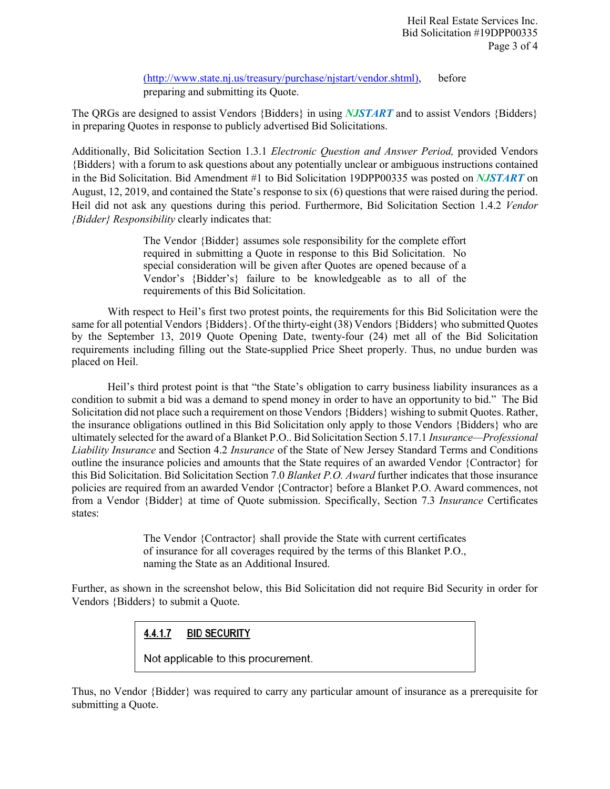[\(http://www.state.nj.us/treasury/purchase/njstart/vendor.shtml\)](http://www.state.nj.us/treasury/purchase/njstart/vendor.shtml), before preparing and submitting its Quote.

The QRGs are designed to assist Vendors {Bidders} in using *NJSTART* and to assist Vendors {Bidders} in preparing Quotes in response to publicly advertised Bid Solicitations.

Additionally, Bid Solicitation Section 1.3.1 *Electronic Question and Answer Period,* provided Vendors {Bidders} with a forum to ask questions about any potentially unclear or ambiguous instructions contained in the Bid Solicitation. Bid Amendment #1 to Bid Solicitation 19DPP00335 was posted on *NJSTART* on August, 12, 2019, and contained the State's response to six (6) questions that were raised during the period. Heil did not ask any questions during this period. Furthermore, Bid Solicitation Section 1.4.2 *Vendor {Bidder} Responsibility* clearly indicates that:

> The Vendor {Bidder} assumes sole responsibility for the complete effort required in submitting a Quote in response to this Bid Solicitation. No special consideration will be given after Quotes are opened because of a Vendor's {Bidder's} failure to be knowledgeable as to all of the requirements of this Bid Solicitation.

With respect to Heil's first two protest points, the requirements for this Bid Solicitation were the same for all potential Vendors {Bidders}. Of the thirty-eight (38) Vendors {Bidders} who submitted Quotes by the September 13, 2019 Quote Opening Date, twenty-four (24) met all of the Bid Solicitation requirements including filling out the State-supplied Price Sheet properly. Thus, no undue burden was placed on Heil.

Heil's third protest point is that "the State's obligation to carry business liability insurances as a condition to submit a bid was a demand to spend money in order to have an opportunity to bid." The Bid Solicitation did not place such a requirement on those Vendors {Bidders} wishing to submit Quotes. Rather, the insurance obligations outlined in this Bid Solicitation only apply to those Vendors {Bidders} who are ultimately selected for the award of a Blanket P.O.. Bid Solicitation Section 5.17.1 *Insurance—Professional Liability Insurance* and Section 4.2 *Insurance* of the State of New Jersey Standard Terms and Conditions outline the insurance policies and amounts that the State requires of an awarded Vendor {Contractor} for this Bid Solicitation. Bid Solicitation Section 7.0 *Blanket P.O. Award* further indicates that those insurance policies are required from an awarded Vendor {Contractor} before a Blanket P.O. Award commences, not from a Vendor {Bidder} at time of Quote submission. Specifically, Section 7.3 *Insurance* Certificates states:

> The Vendor {Contractor} shall provide the State with current certificates of insurance for all coverages required by the terms of this Blanket P.O., naming the State as an Additional Insured.

Further, as shown in the screenshot below, this Bid Solicitation did not require Bid Security in order for Vendors {Bidders} to submit a Quote.

> $4.4.1.7$ **BID SECURITY**

Not applicable to this procurement.

Thus, no Vendor {Bidder} was required to carry any particular amount of insurance as a prerequisite for submitting a Quote.